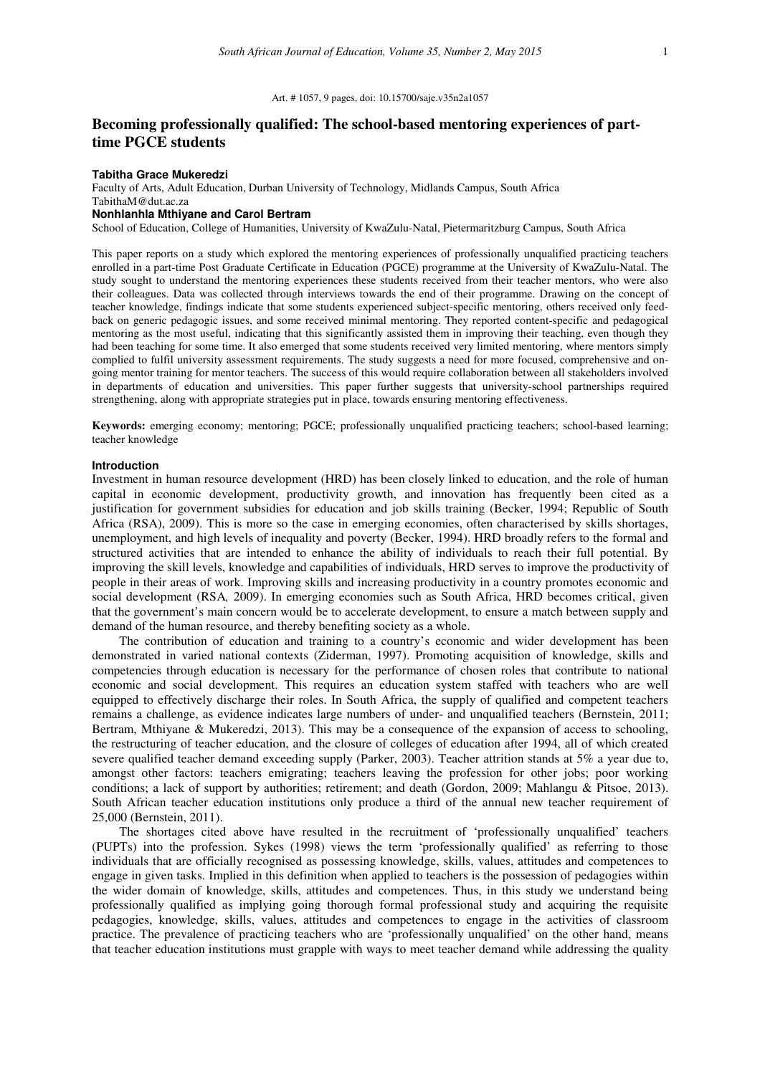#### Art. # 1057, 9 pages, doi: 10.15700/saje.v35n2a1057

# **Becoming professionally qualified: The school-based mentoring experiences of parttime PGCE students**

# **Tabitha Grace Mukeredzi**

Faculty of Arts, Adult Education, Durban University of Technology, Midlands Campus, South Africa TabithaM@dut.ac.za **Nonhlanhla Mthiyane and Carol Bertram** 

School of Education, College of Humanities, University of KwaZulu-Natal, Pietermaritzburg Campus, South Africa

This paper reports on a study which explored the mentoring experiences of professionally unqualified practicing teachers enrolled in a part-time Post Graduate Certificate in Education (PGCE) programme at the University of KwaZulu-Natal. The study sought to understand the mentoring experiences these students received from their teacher mentors, who were also their colleagues. Data was collected through interviews towards the end of their programme. Drawing on the concept of teacher knowledge, findings indicate that some students experienced subject-specific mentoring, others received only feedback on generic pedagogic issues, and some received minimal mentoring. They reported content-specific and pedagogical mentoring as the most useful, indicating that this significantly assisted them in improving their teaching, even though they had been teaching for some time. It also emerged that some students received very limited mentoring, where mentors simply complied to fulfil university assessment requirements. The study suggests a need for more focused, comprehensive and ongoing mentor training for mentor teachers. The success of this would require collaboration between all stakeholders involved in departments of education and universities. This paper further suggests that university-school partnerships required strengthening, along with appropriate strategies put in place, towards ensuring mentoring effectiveness.

**Keywords:** emerging economy; mentoring; PGCE; professionally unqualified practicing teachers; school-based learning; teacher knowledge

#### **Introduction**

Investment in human resource development (HRD) has been closely linked to education, and the role of human capital in economic development, productivity growth, and innovation has frequently been cited as a justification for government subsidies for education and job skills training (Becker, 1994; Republic of South Africa (RSA), 2009). This is more so the case in emerging economies, often characterised by skills shortages, unemployment, and high levels of inequality and poverty (Becker, 1994). HRD broadly refers to the formal and structured activities that are intended to enhance the ability of individuals to reach their full potential. By improving the skill levels, knowledge and capabilities of individuals, HRD serves to improve the productivity of people in their areas of work. Improving skills and increasing productivity in a country promotes economic and social development (RSA*,* 2009). In emerging economies such as South Africa, HRD becomes critical, given that the government's main concern would be to accelerate development, to ensure a match between supply and demand of the human resource, and thereby benefiting society as a whole.

The contribution of education and training to a country's economic and wider development has been demonstrated in varied national contexts (Ziderman, 1997). Promoting acquisition of knowledge, skills and competencies through education is necessary for the performance of chosen roles that contribute to national economic and social development. This requires an education system staffed with teachers who are well equipped to effectively discharge their roles. In South Africa, the supply of qualified and competent teachers remains a challenge, as evidence indicates large numbers of under- and unqualified teachers (Bernstein, 2011; Bertram, Mthiyane & Mukeredzi, 2013). This may be a consequence of the expansion of access to schooling, the restructuring of teacher education, and the closure of colleges of education after 1994, all of which created severe qualified teacher demand exceeding supply (Parker, 2003). Teacher attrition stands at 5% a year due to, amongst other factors: teachers emigrating; teachers leaving the profession for other jobs; poor working conditions; a lack of support by authorities; retirement; and death (Gordon, 2009; Mahlangu & Pitsoe, 2013). South African teacher education institutions only produce a third of the annual new teacher requirement of 25,000 (Bernstein, 2011).

The shortages cited above have resulted in the recruitment of 'professionally unqualified' teachers (PUPTs) into the profession. Sykes (1998) views the term 'professionally qualified' as referring to those individuals that are officially recognised as possessing knowledge, skills, values, attitudes and competences to engage in given tasks. Implied in this definition when applied to teachers is the possession of pedagogies within the wider domain of knowledge, skills, attitudes and competences. Thus, in this study we understand being professionally qualified as implying going thorough formal professional study and acquiring the requisite pedagogies, knowledge, skills, values, attitudes and competences to engage in the activities of classroom practice. The prevalence of practicing teachers who are 'professionally unqualified' on the other hand, means that teacher education institutions must grapple with ways to meet teacher demand while addressing the quality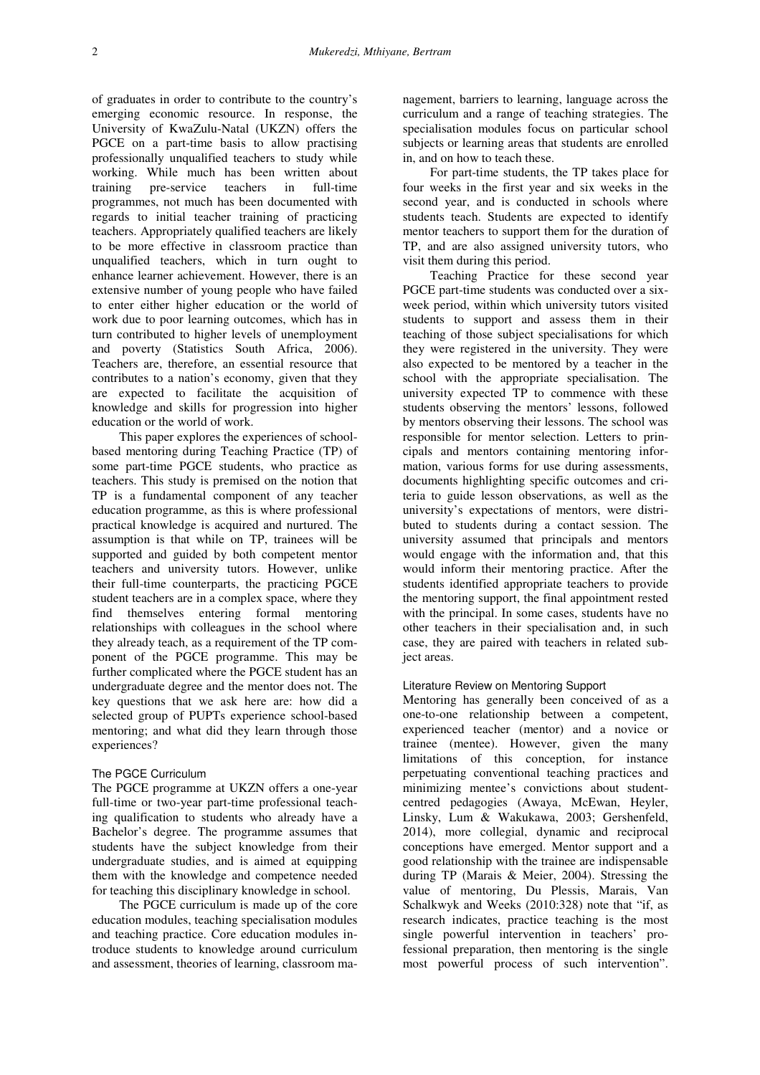of graduates in order to contribute to the country's emerging economic resource. In response, the University of KwaZulu-Natal (UKZN) offers the PGCE on a part-time basis to allow practising professionally unqualified teachers to study while working. While much has been written about training pre-service teachers in full-time programmes, not much has been documented with regards to initial teacher training of practicing teachers. Appropriately qualified teachers are likely to be more effective in classroom practice than unqualified teachers, which in turn ought to enhance learner achievement. However, there is an extensive number of young people who have failed to enter either higher education or the world of work due to poor learning outcomes, which has in turn contributed to higher levels of unemployment and poverty (Statistics South Africa, 2006). Teachers are, therefore, an essential resource that contributes to a nation's economy, given that they are expected to facilitate the acquisition of knowledge and skills for progression into higher education or the world of work.

This paper explores the experiences of schoolbased mentoring during Teaching Practice (TP) of some part-time PGCE students, who practice as teachers. This study is premised on the notion that TP is a fundamental component of any teacher education programme, as this is where professional practical knowledge is acquired and nurtured. The assumption is that while on TP, trainees will be supported and guided by both competent mentor teachers and university tutors. However, unlike their full-time counterparts, the practicing PGCE student teachers are in a complex space, where they find themselves entering formal mentoring relationships with colleagues in the school where they already teach, as a requirement of the TP component of the PGCE programme. This may be further complicated where the PGCE student has an undergraduate degree and the mentor does not. The key questions that we ask here are: how did a selected group of PUPTs experience school-based mentoring; and what did they learn through those experiences?

#### The PGCE Curriculum

The PGCE programme at UKZN offers a one-year full-time or two-year part-time professional teaching qualification to students who already have a Bachelor's degree. The programme assumes that students have the subject knowledge from their undergraduate studies, and is aimed at equipping them with the knowledge and competence needed for teaching this disciplinary knowledge in school.

The PGCE curriculum is made up of the core education modules, teaching specialisation modules and teaching practice. Core education modules introduce students to knowledge around curriculum and assessment, theories of learning, classroom management, barriers to learning, language across the curriculum and a range of teaching strategies. The specialisation modules focus on particular school subjects or learning areas that students are enrolled in, and on how to teach these.

For part-time students, the TP takes place for four weeks in the first year and six weeks in the second year, and is conducted in schools where students teach. Students are expected to identify mentor teachers to support them for the duration of TP, and are also assigned university tutors, who visit them during this period.

Teaching Practice for these second year PGCE part-time students was conducted over a sixweek period, within which university tutors visited students to support and assess them in their teaching of those subject specialisations for which they were registered in the university. They were also expected to be mentored by a teacher in the school with the appropriate specialisation. The university expected TP to commence with these students observing the mentors' lessons, followed by mentors observing their lessons. The school was responsible for mentor selection. Letters to principals and mentors containing mentoring information, various forms for use during assessments, documents highlighting specific outcomes and criteria to guide lesson observations, as well as the university's expectations of mentors, were distributed to students during a contact session. The university assumed that principals and mentors would engage with the information and, that this would inform their mentoring practice. After the students identified appropriate teachers to provide the mentoring support, the final appointment rested with the principal. In some cases, students have no other teachers in their specialisation and, in such case, they are paired with teachers in related subject areas.

## Literature Review on Mentoring Support

Mentoring has generally been conceived of as a one-to-one relationship between a competent, experienced teacher (mentor) and a novice or trainee (mentee). However, given the many limitations of this conception, for instance perpetuating conventional teaching practices and minimizing mentee's convictions about studentcentred pedagogies (Awaya, McEwan, Heyler, Linsky, Lum & Wakukawa, 2003; Gershenfeld, 2014), more collegial, dynamic and reciprocal conceptions have emerged. Mentor support and a good relationship with the trainee are indispensable during TP (Marais & Meier, 2004). Stressing the value of mentoring, Du Plessis, Marais, Van Schalkwyk and Weeks (2010:328) note that "if, as research indicates, practice teaching is the most single powerful intervention in teachers' professional preparation, then mentoring is the single most powerful process of such intervention".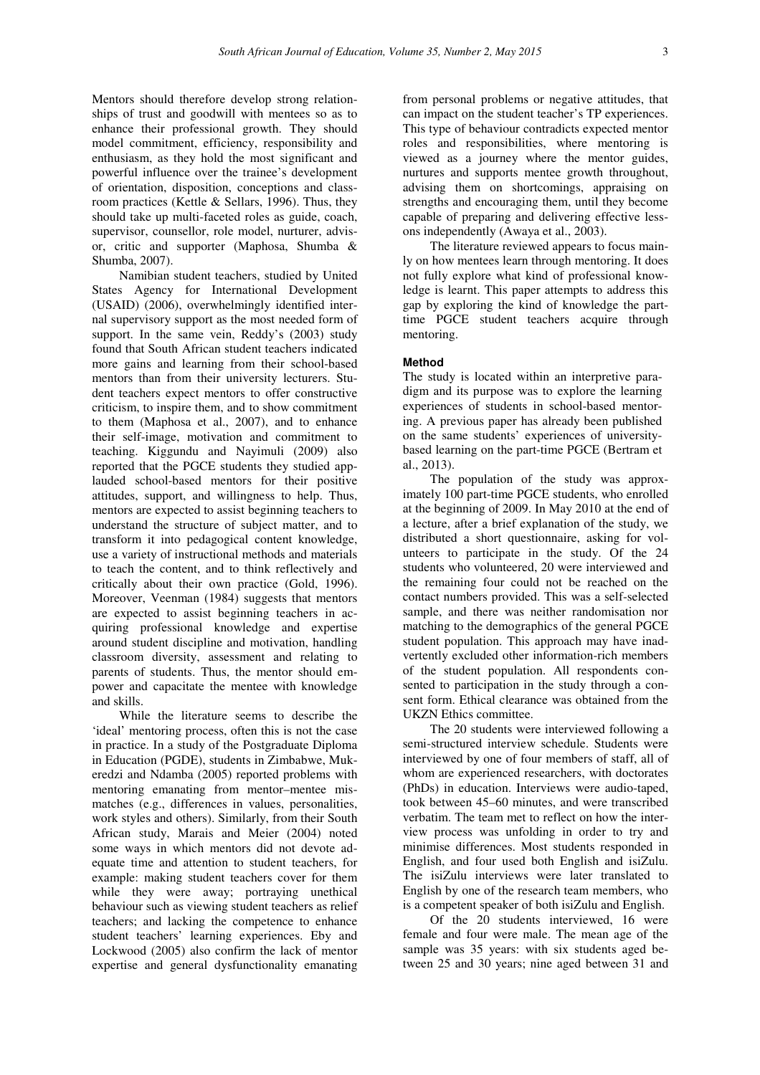Mentors should therefore develop strong relationships of trust and goodwill with mentees so as to enhance their professional growth. They should model commitment, efficiency, responsibility and enthusiasm, as they hold the most significant and powerful influence over the trainee's development of orientation, disposition, conceptions and classroom practices (Kettle & Sellars, 1996). Thus, they should take up multi-faceted roles as guide, coach, supervisor, counsellor, role model, nurturer, advisor, critic and supporter (Maphosa, Shumba & Shumba, 2007).

Namibian student teachers, studied by United States Agency for International Development (USAID) (2006), overwhelmingly identified internal supervisory support as the most needed form of support. In the same vein, Reddy's (2003) study found that South African student teachers indicated more gains and learning from their school-based mentors than from their university lecturers. Student teachers expect mentors to offer constructive criticism, to inspire them, and to show commitment to them (Maphosa et al., 2007), and to enhance their self-image, motivation and commitment to teaching. Kiggundu and Nayimuli (2009) also reported that the PGCE students they studied applauded school-based mentors for their positive attitudes, support, and willingness to help. Thus, mentors are expected to assist beginning teachers to understand the structure of subject matter, and to transform it into pedagogical content knowledge, use a variety of instructional methods and materials to teach the content, and to think reflectively and critically about their own practice (Gold, 1996). Moreover, Veenman (1984) suggests that mentors are expected to assist beginning teachers in acquiring professional knowledge and expertise around student discipline and motivation, handling classroom diversity, assessment and relating to parents of students. Thus, the mentor should empower and capacitate the mentee with knowledge and skills.

While the literature seems to describe the 'ideal' mentoring process, often this is not the case in practice. In a study of the Postgraduate Diploma in Education (PGDE), students in Zimbabwe, Mukeredzi and Ndamba (2005) reported problems with mentoring emanating from mentor–mentee mismatches (e.g., differences in values, personalities, work styles and others). Similarly, from their South African study, Marais and Meier (2004) noted some ways in which mentors did not devote adequate time and attention to student teachers, for example: making student teachers cover for them while they were away; portraying unethical behaviour such as viewing student teachers as relief teachers; and lacking the competence to enhance student teachers' learning experiences. Eby and Lockwood (2005) also confirm the lack of mentor expertise and general dysfunctionality emanating

from personal problems or negative attitudes, that can impact on the student teacher's TP experiences. This type of behaviour contradicts expected mentor roles and responsibilities, where mentoring is viewed as a journey where the mentor guides, nurtures and supports mentee growth throughout, advising them on shortcomings, appraising on strengths and encouraging them, until they become capable of preparing and delivering effective lessons independently (Awaya et al., 2003).

The literature reviewed appears to focus mainly on how mentees learn through mentoring. It does not fully explore what kind of professional knowledge is learnt. This paper attempts to address this gap by exploring the kind of knowledge the parttime PGCE student teachers acquire through mentoring.

## **Method**

The study is located within an interpretive paradigm and its purpose was to explore the learning experiences of students in school-based mentoring. A previous paper has already been published on the same students' experiences of universitybased learning on the part-time PGCE (Bertram et al., 2013).

The population of the study was approximately 100 part-time PGCE students, who enrolled at the beginning of 2009. In May 2010 at the end of a lecture, after a brief explanation of the study, we distributed a short questionnaire, asking for volunteers to participate in the study. Of the 24 students who volunteered, 20 were interviewed and the remaining four could not be reached on the contact numbers provided. This was a self-selected sample, and there was neither randomisation nor matching to the demographics of the general PGCE student population. This approach may have inadvertently excluded other information-rich members of the student population. All respondents consented to participation in the study through a consent form. Ethical clearance was obtained from the UKZN Ethics committee.

The 20 students were interviewed following a semi-structured interview schedule. Students were interviewed by one of four members of staff, all of whom are experienced researchers, with doctorates (PhDs) in education. Interviews were audio-taped, took between 45–60 minutes, and were transcribed verbatim. The team met to reflect on how the interview process was unfolding in order to try and minimise differences. Most students responded in English, and four used both English and isiZulu. The isiZulu interviews were later translated to English by one of the research team members, who is a competent speaker of both isiZulu and English.

Of the 20 students interviewed, 16 were female and four were male. The mean age of the sample was 35 years: with six students aged between 25 and 30 years; nine aged between 31 and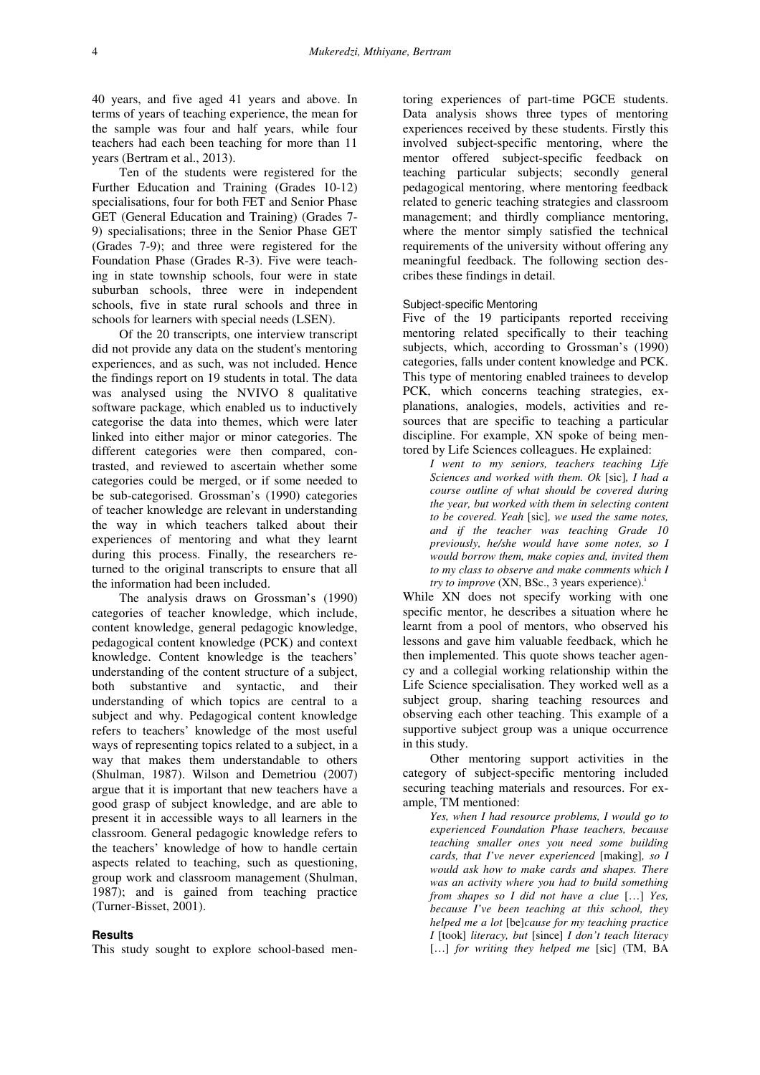40 years, and five aged 41 years and above. In terms of years of teaching experience, the mean for the sample was four and half years, while four teachers had each been teaching for more than 11 years (Bertram et al., 2013).

Ten of the students were registered for the Further Education and Training (Grades 10-12) specialisations, four for both FET and Senior Phase GET (General Education and Training) (Grades 7- 9) specialisations; three in the Senior Phase GET (Grades 7-9); and three were registered for the Foundation Phase (Grades R-3). Five were teaching in state township schools, four were in state suburban schools, three were in independent schools, five in state rural schools and three in schools for learners with special needs (LSEN).

Of the 20 transcripts, one interview transcript did not provide any data on the student's mentoring experiences, and as such, was not included. Hence the findings report on 19 students in total. The data was analysed using the NVIVO 8 qualitative software package, which enabled us to inductively categorise the data into themes, which were later linked into either major or minor categories. The different categories were then compared, contrasted, and reviewed to ascertain whether some categories could be merged, or if some needed to be sub-categorised. Grossman's (1990) categories of teacher knowledge are relevant in understanding the way in which teachers talked about their experiences of mentoring and what they learnt during this process. Finally, the researchers returned to the original transcripts to ensure that all the information had been included.

The analysis draws on Grossman's (1990) categories of teacher knowledge, which include, content knowledge, general pedagogic knowledge, pedagogical content knowledge (PCK) and context knowledge. Content knowledge is the teachers' understanding of the content structure of a subject, both substantive and syntactic, and their understanding of which topics are central to a subject and why. Pedagogical content knowledge refers to teachers' knowledge of the most useful ways of representing topics related to a subject, in a way that makes them understandable to others (Shulman, 1987). Wilson and Demetriou (2007) argue that it is important that new teachers have a good grasp of subject knowledge, and are able to present it in accessible ways to all learners in the classroom. General pedagogic knowledge refers to the teachers' knowledge of how to handle certain aspects related to teaching, such as questioning, group work and classroom management (Shulman, 1987); and is gained from teaching practice (Turner-Bisset, 2001).

# **Results**

This study sought to explore school-based men-

toring experiences of part-time PGCE students. Data analysis shows three types of mentoring experiences received by these students. Firstly this involved subject-specific mentoring, where the mentor offered subject-specific feedback on teaching particular subjects; secondly general pedagogical mentoring, where mentoring feedback related to generic teaching strategies and classroom management; and thirdly compliance mentoring, where the mentor simply satisfied the technical requirements of the university without offering any meaningful feedback. The following section describes these findings in detail.

#### Subject-specific Mentoring

Five of the 19 participants reported receiving mentoring related specifically to their teaching subjects, which, according to Grossman's (1990) categories, falls under content knowledge and PCK. This type of mentoring enabled trainees to develop PCK, which concerns teaching strategies, explanations, analogies, models, activities and resources that are specific to teaching a particular discipline. For example, XN spoke of being mentored by Life Sciences colleagues. He explained:

*I went to my seniors, teachers teaching Life Sciences and worked with them. Ok* [sic]*, I had a course outline of what should be covered during the year, but worked with them in selecting content to be covered. Yeah* [sic]*, we used the same notes, and if the teacher was teaching Grade 10 previously, he/she would have some notes, so I would borrow them, make copies and, invited them to my class to observe and make comments which I*   $try to improve (XN, BSc., 3 years experience).<sup>1</sup>$ 

While XN does not specify working with one specific mentor, he describes a situation where he learnt from a pool of mentors, who observed his lessons and gave him valuable feedback, which he then implemented. This quote shows teacher agency and a collegial working relationship within the Life Science specialisation. They worked well as a subject group, sharing teaching resources and observing each other teaching. This example of a supportive subject group was a unique occurrence in this study.

Other mentoring support activities in the category of subject-specific mentoring included securing teaching materials and resources. For example, TM mentioned:

*Yes, when I had resource problems, I would go to experienced Foundation Phase teachers, because teaching smaller ones you need some building cards, that I've never experienced* [making]*, so I would ask how to make cards and shapes. There was an activity where you had to build something from shapes so I did not have a clue* […] *Yes, because I've been teaching at this school, they helped me a lot* [be]*cause for my teaching practice I* [took] *literacy, but* [since] *I don't teach literacy*  [...] *for writing they helped me* [sic] (TM, BA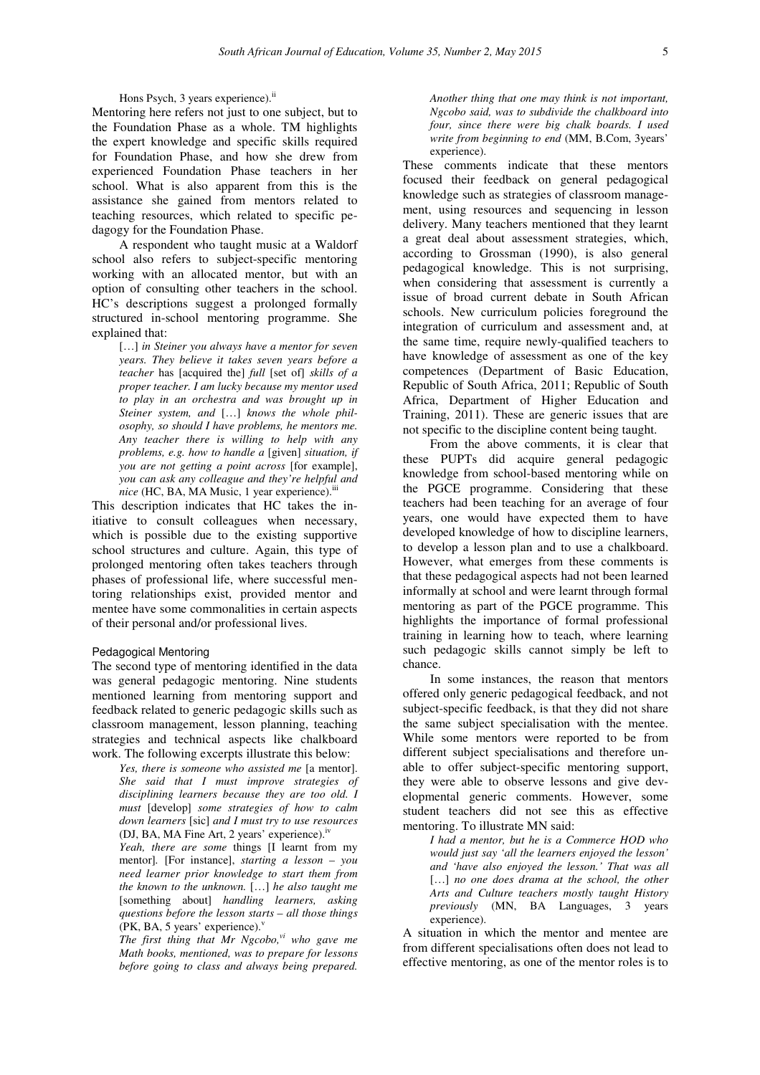Hons Psych, 3 years experience).<sup>ii</sup>

Mentoring here refers not just to one subject, but to the Foundation Phase as a whole. TM highlights the expert knowledge and specific skills required for Foundation Phase, and how she drew from experienced Foundation Phase teachers in her school. What is also apparent from this is the assistance she gained from mentors related to teaching resources, which related to specific pedagogy for the Foundation Phase.

A respondent who taught music at a Waldorf school also refers to subject-specific mentoring working with an allocated mentor, but with an option of consulting other teachers in the school. HC's descriptions suggest a prolonged formally structured in-school mentoring programme. She explained that:

[...] *in Steiner you always have a mentor for seven years. They believe it takes seven years before a teacher* has [acquired the] *full* [set of] *skills of a proper teacher. I am lucky because my mentor used to play in an orchestra and was brought up in Steiner system, and* […] *knows the whole philosophy, so should I have problems, he mentors me. Any teacher there is willing to help with any problems, e.g. how to handle a* [given] *situation, if you are not getting a point across* [for example], *you can ask any colleague and they're helpful and nice* (HC, BA, MA Music, 1 year experience).<sup>iii</sup>

This description indicates that HC takes the initiative to consult colleagues when necessary, which is possible due to the existing supportive school structures and culture. Again, this type of prolonged mentoring often takes teachers through phases of professional life, where successful mentoring relationships exist, provided mentor and mentee have some commonalities in certain aspects of their personal and/or professional lives.

#### Pedagogical Mentoring

The second type of mentoring identified in the data was general pedagogic mentoring. Nine students mentioned learning from mentoring support and feedback related to generic pedagogic skills such as classroom management, lesson planning, teaching strategies and technical aspects like chalkboard work. The following excerpts illustrate this below:

> *Yes, there is someone who assisted me* [a mentor]. *She said that I must improve strategies of disciplining learners because they are too old. I must* [develop] *some strategies of how to calm down learners* [sic] *and I must try to use resources*  (DJ, BA, MA Fine Art, 2 years' experience).<sup>iv</sup>

> *Yeah, there are some* things [I learnt from my mentor]*.* [For instance], *starting a lesson – you need learner prior knowledge to start them from the known to the unknown.* […] *he also taught me*  [something about] *handling learners, asking questions before the lesson starts – all those things*  (PK, BA, 5 years' experience). $v$

> *The first thing that Mr Ngcobo,vi who gave me Math books, mentioned, was to prepare for lessons before going to class and always being prepared.*

*Another thing that one may think is not important, Ngcobo said, was to subdivide the chalkboard into four, since there were big chalk boards. I used write from beginning to end* (MM, B.Com, 3years' experience).

These comments indicate that these mentors focused their feedback on general pedagogical knowledge such as strategies of classroom management, using resources and sequencing in lesson delivery. Many teachers mentioned that they learnt a great deal about assessment strategies, which, according to Grossman (1990), is also general pedagogical knowledge. This is not surprising, when considering that assessment is currently a issue of broad current debate in South African schools. New curriculum policies foreground the integration of curriculum and assessment and, at the same time, require newly-qualified teachers to have knowledge of assessment as one of the key competences (Department of Basic Education, Republic of South Africa, 2011; Republic of South Africa, Department of Higher Education and Training, 2011). These are generic issues that are not specific to the discipline content being taught.

From the above comments, it is clear that these PUPTs did acquire general pedagogic knowledge from school-based mentoring while on the PGCE programme. Considering that these teachers had been teaching for an average of four years, one would have expected them to have developed knowledge of how to discipline learners, to develop a lesson plan and to use a chalkboard. However, what emerges from these comments is that these pedagogical aspects had not been learned informally at school and were learnt through formal mentoring as part of the PGCE programme. This highlights the importance of formal professional training in learning how to teach, where learning such pedagogic skills cannot simply be left to chance.

In some instances, the reason that mentors offered only generic pedagogical feedback, and not subject-specific feedback, is that they did not share the same subject specialisation with the mentee. While some mentors were reported to be from different subject specialisations and therefore unable to offer subject-specific mentoring support, they were able to observe lessons and give developmental generic comments. However, some student teachers did not see this as effective mentoring. To illustrate MN said:

*I had a mentor, but he is a Commerce HOD who would just say 'all the learners enjoyed the lesson' and 'have also enjoyed the lesson.' That was all*  [...] *no one does drama at the school, the other Arts and Culture teachers mostly taught History previously* (MN, BA Languages, 3 years experience).

A situation in which the mentor and mentee are from different specialisations often does not lead to effective mentoring, as one of the mentor roles is to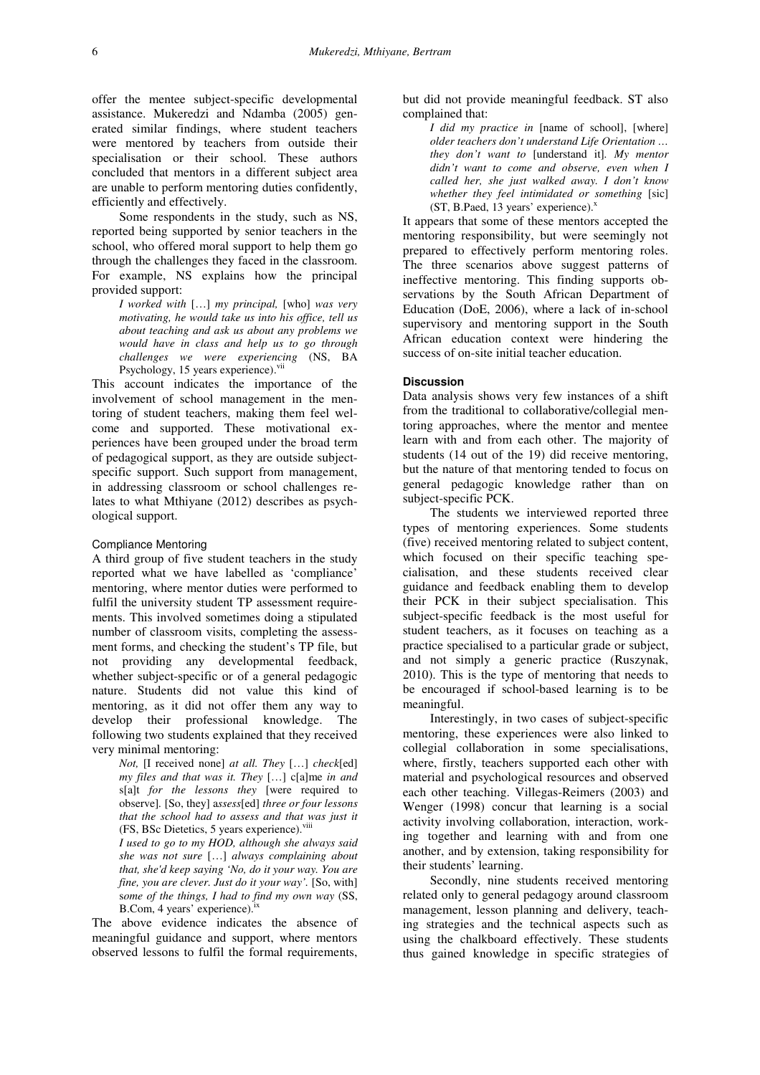offer the mentee subject-specific developmental assistance. Mukeredzi and Ndamba (2005) generated similar findings, where student teachers were mentored by teachers from outside their specialisation or their school. These authors concluded that mentors in a different subject area are unable to perform mentoring duties confidently, efficiently and effectively.

Some respondents in the study, such as NS, reported being supported by senior teachers in the school, who offered moral support to help them go through the challenges they faced in the classroom. For example, NS explains how the principal provided support:

*I worked with* […] *my principal,* [who] *was very motivating, he would take us into his office, tell us about teaching and ask us about any problems we would have in class and help us to go through challenges we were experiencing* (NS, BA Psychology, 15 years experience).<sup>vii</sup>

This account indicates the importance of the involvement of school management in the mentoring of student teachers, making them feel welcome and supported. These motivational experiences have been grouped under the broad term of pedagogical support, as they are outside subjectspecific support. Such support from management, in addressing classroom or school challenges relates to what Mthiyane (2012) describes as psychological support.

## Compliance Mentoring

A third group of five student teachers in the study reported what we have labelled as 'compliance' mentoring, where mentor duties were performed to fulfil the university student TP assessment requirements. This involved sometimes doing a stipulated number of classroom visits, completing the assessment forms, and checking the student's TP file, but not providing any developmental feedback, whether subject-specific or of a general pedagogic nature. Students did not value this kind of mentoring, as it did not offer them any way to develop their professional knowledge. The following two students explained that they received very minimal mentoring:

> *Not,* [I received none] *at all. They* […] *check*[ed] *my files and that was it. They* […] c[a]me *in and*  s[a]t *for the lessons they* [were required to observe]*.* [So, they] a*ssess*[ed] *three or four lessons that the school had to assess and that was just it*  (FS, BSc Dietetics, 5 years experience).<sup>viii</sup>

> *I used to go to my HOD, although she always said she was not sure* […] *always complaining about that, she'd keep saying 'No, do it your way. You are fine, you are clever. Just do it your way'.* [So, with] s*ome of the things, I had to find my own way* (SS, B.Com, 4 years' experience).<sup>it</sup>

The above evidence indicates the absence of meaningful guidance and support, where mentors observed lessons to fulfil the formal requirements, but did not provide meaningful feedback. ST also complained that:

> *I did my practice in* [name of school], [where] *older teachers don't understand Life Orientation … they don't want to* [understand it]*. My mentor didn't want to come and observe, even when I called her, she just walked away. I don't know whether they feel intimidated or something* [sic]  $(ST, B.Paed, 13 years' experience).$ <sup>x</sup>

It appears that some of these mentors accepted the mentoring responsibility, but were seemingly not prepared to effectively perform mentoring roles. The three scenarios above suggest patterns of ineffective mentoring. This finding supports observations by the South African Department of Education (DoE, 2006), where a lack of in-school supervisory and mentoring support in the South African education context were hindering the success of on-site initial teacher education.

#### **Discussion**

Data analysis shows very few instances of a shift from the traditional to collaborative/collegial mentoring approaches, where the mentor and mentee learn with and from each other. The majority of students (14 out of the 19) did receive mentoring, but the nature of that mentoring tended to focus on general pedagogic knowledge rather than on subject-specific PCK.

The students we interviewed reported three types of mentoring experiences. Some students (five) received mentoring related to subject content, which focused on their specific teaching specialisation, and these students received clear guidance and feedback enabling them to develop their PCK in their subject specialisation. This subject-specific feedback is the most useful for student teachers, as it focuses on teaching as a practice specialised to a particular grade or subject, and not simply a generic practice (Ruszynak, 2010). This is the type of mentoring that needs to be encouraged if school-based learning is to be meaningful.

Interestingly, in two cases of subject-specific mentoring, these experiences were also linked to collegial collaboration in some specialisations, where, firstly, teachers supported each other with material and psychological resources and observed each other teaching. Villegas-Reimers (2003) and Wenger (1998) concur that learning is a social activity involving collaboration, interaction, working together and learning with and from one another, and by extension, taking responsibility for their students' learning.

Secondly, nine students received mentoring related only to general pedagogy around classroom management, lesson planning and delivery, teaching strategies and the technical aspects such as using the chalkboard effectively. These students thus gained knowledge in specific strategies of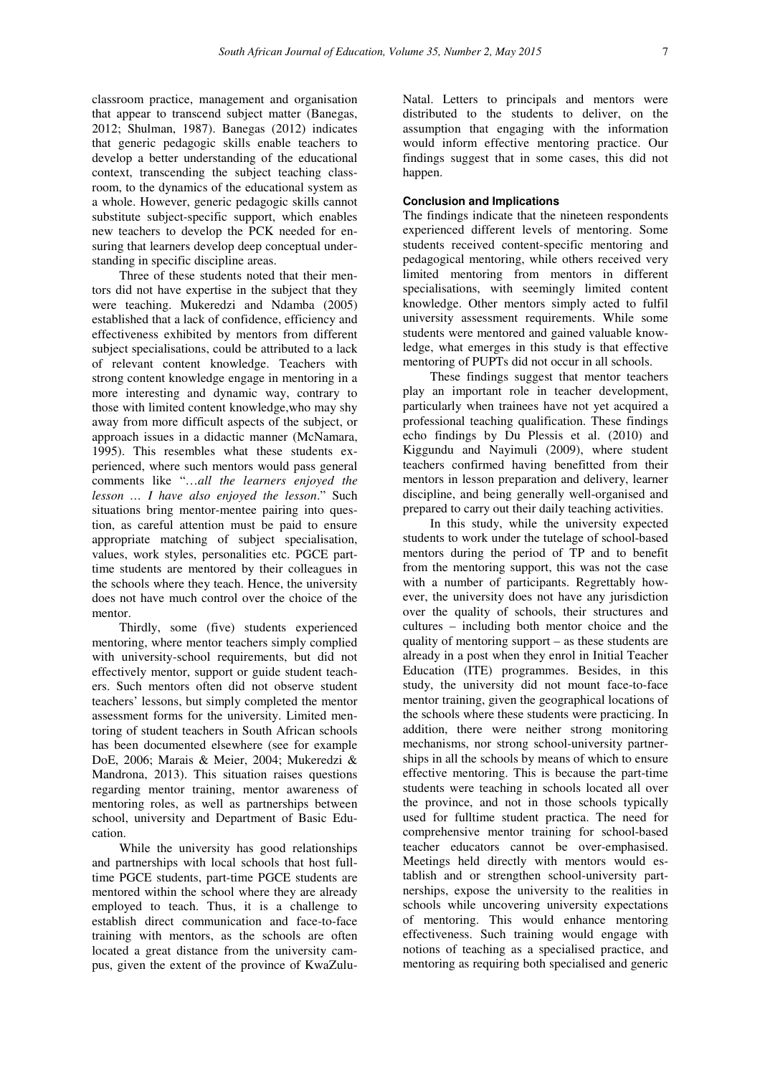classroom practice, management and organisation that appear to transcend subject matter (Banegas, 2012; Shulman, 1987). Banegas (2012) indicates that generic pedagogic skills enable teachers to develop a better understanding of the educational context, transcending the subject teaching classroom, to the dynamics of the educational system as a whole. However, generic pedagogic skills cannot substitute subject-specific support, which enables new teachers to develop the PCK needed for ensuring that learners develop deep conceptual understanding in specific discipline areas.

Three of these students noted that their mentors did not have expertise in the subject that they were teaching. Mukeredzi and Ndamba (2005) established that a lack of confidence, efficiency and effectiveness exhibited by mentors from different subject specialisations, could be attributed to a lack of relevant content knowledge. Teachers with strong content knowledge engage in mentoring in a more interesting and dynamic way, contrary to those with limited content knowledge,who may shy away from more difficult aspects of the subject, or approach issues in a didactic manner (McNamara, 1995). This resembles what these students experienced, where such mentors would pass general comments like "…*all the learners enjoyed the lesson … I have also enjoyed the lesson*." Such situations bring mentor-mentee pairing into question, as careful attention must be paid to ensure appropriate matching of subject specialisation, values, work styles, personalities etc. PGCE parttime students are mentored by their colleagues in the schools where they teach. Hence, the university does not have much control over the choice of the mentor.

Thirdly, some (five) students experienced mentoring, where mentor teachers simply complied with university-school requirements, but did not effectively mentor, support or guide student teachers. Such mentors often did not observe student teachers' lessons, but simply completed the mentor assessment forms for the university. Limited mentoring of student teachers in South African schools has been documented elsewhere (see for example DoE, 2006; Marais & Meier, 2004; Mukeredzi & Mandrona, 2013). This situation raises questions regarding mentor training, mentor awareness of mentoring roles, as well as partnerships between school, university and Department of Basic Education.

While the university has good relationships and partnerships with local schools that host fulltime PGCE students, part-time PGCE students are mentored within the school where they are already employed to teach. Thus, it is a challenge to establish direct communication and face-to-face training with mentors, as the schools are often located a great distance from the university campus, given the extent of the province of KwaZuluNatal. Letters to principals and mentors were distributed to the students to deliver, on the assumption that engaging with the information would inform effective mentoring practice. Our findings suggest that in some cases, this did not happen.

# **Conclusion and Implications**

The findings indicate that the nineteen respondents experienced different levels of mentoring. Some students received content-specific mentoring and pedagogical mentoring, while others received very limited mentoring from mentors in different specialisations, with seemingly limited content knowledge. Other mentors simply acted to fulfil university assessment requirements. While some students were mentored and gained valuable knowledge, what emerges in this study is that effective mentoring of PUPTs did not occur in all schools.

These findings suggest that mentor teachers play an important role in teacher development, particularly when trainees have not yet acquired a professional teaching qualification. These findings echo findings by Du Plessis et al. (2010) and Kiggundu and Nayimuli (2009), where student teachers confirmed having benefitted from their mentors in lesson preparation and delivery, learner discipline, and being generally well-organised and prepared to carry out their daily teaching activities.

In this study, while the university expected students to work under the tutelage of school-based mentors during the period of TP and to benefit from the mentoring support, this was not the case with a number of participants. Regrettably however, the university does not have any jurisdiction over the quality of schools, their structures and cultures – including both mentor choice and the quality of mentoring support – as these students are already in a post when they enrol in Initial Teacher Education (ITE) programmes. Besides, in this study, the university did not mount face-to-face mentor training, given the geographical locations of the schools where these students were practicing. In addition, there were neither strong monitoring mechanisms, nor strong school-university partnerships in all the schools by means of which to ensure effective mentoring. This is because the part-time students were teaching in schools located all over the province, and not in those schools typically used for fulltime student practica. The need for comprehensive mentor training for school-based teacher educators cannot be over-emphasised. Meetings held directly with mentors would establish and or strengthen school-university partnerships, expose the university to the realities in schools while uncovering university expectations of mentoring. This would enhance mentoring effectiveness. Such training would engage with notions of teaching as a specialised practice, and mentoring as requiring both specialised and generic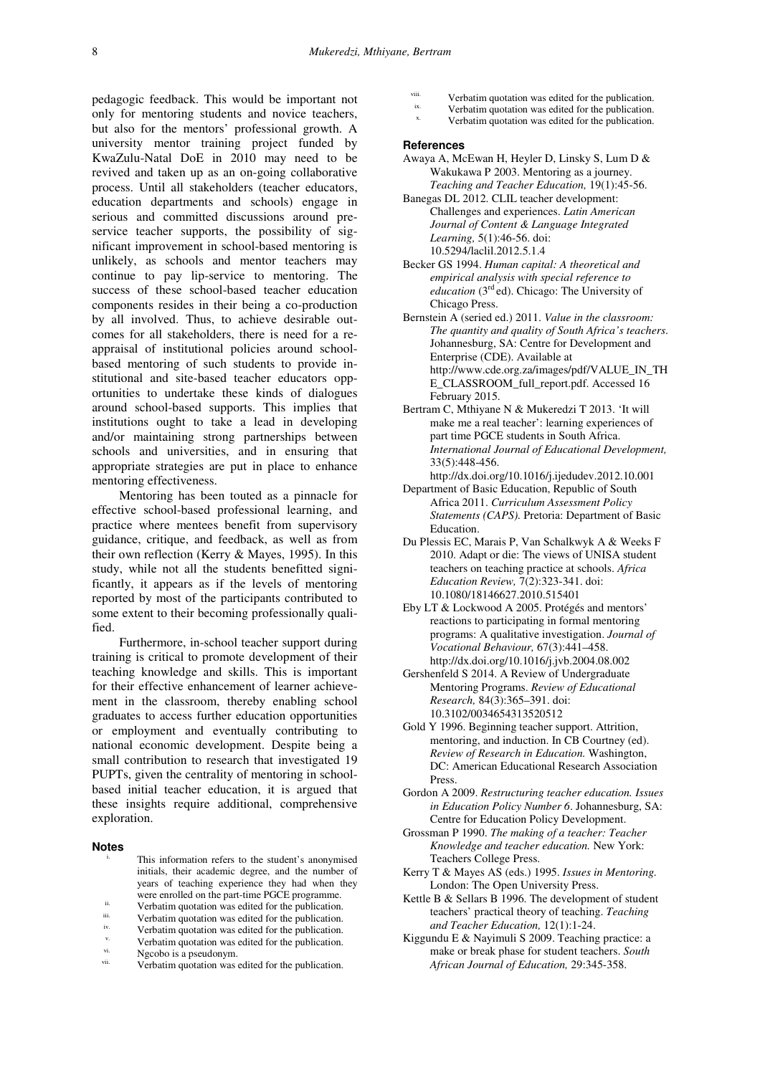pedagogic feedback. This would be important not only for mentoring students and novice teachers, but also for the mentors' professional growth. A university mentor training project funded by KwaZulu-Natal DoE in 2010 may need to be revived and taken up as an on-going collaborative process. Until all stakeholders (teacher educators, education departments and schools) engage in serious and committed discussions around preservice teacher supports, the possibility of significant improvement in school-based mentoring is unlikely, as schools and mentor teachers may continue to pay lip-service to mentoring. The success of these school-based teacher education components resides in their being a co-production by all involved. Thus, to achieve desirable outcomes for all stakeholders, there is need for a reappraisal of institutional policies around schoolbased mentoring of such students to provide institutional and site-based teacher educators opportunities to undertake these kinds of dialogues around school-based supports. This implies that institutions ought to take a lead in developing and/or maintaining strong partnerships between schools and universities, and in ensuring that appropriate strategies are put in place to enhance mentoring effectiveness.

Mentoring has been touted as a pinnacle for effective school-based professional learning, and practice where mentees benefit from supervisory guidance, critique, and feedback, as well as from their own reflection (Kerry & Mayes, 1995). In this study, while not all the students benefitted significantly, it appears as if the levels of mentoring reported by most of the participants contributed to some extent to their becoming professionally qualified.

Furthermore, in-school teacher support during training is critical to promote development of their teaching knowledge and skills. This is important for their effective enhancement of learner achievement in the classroom, thereby enabling school graduates to access further education opportunities or employment and eventually contributing to national economic development. Despite being a small contribution to research that investigated 19 PUPTs, given the centrality of mentoring in schoolbased initial teacher education, it is argued that these insights require additional, comprehensive exploration.

#### **Notes**

- This information refers to the student's anonymised initials, their academic degree, and the number of years of teaching experience they had when they were enrolled on the part-time PGCE programme.
- 
- ii. Verbatim quotation was edited for the publication.
- <sup>iii.</sup> Verbatim quotation was edited for the publication. Verbatim quotation was edited for the publication.
- v. Verbatim quotation was edited for the publication.
- vi. Ngcobo is a pseudonym.
- Verbatim quotation was edited for the publication.
- viii. Verbatim quotation was edited for the publication.
- Verbatim quotation was edited for the publication.
- Verbatim quotation was edited for the publication.

#### **References**

- Awaya A, McEwan H, Heyler D, Linsky S, Lum D & Wakukawa P 2003. Mentoring as a journey. *Teaching and Teacher Education,* 19(1):45-56.
- Banegas DL 2012. CLIL teacher development: Challenges and experiences. *Latin American Journal of Content & Language Integrated Learning,* 5(1):46-56. doi: 10.5294/laclil.2012.5.1.4
- Becker GS 1994. *Human capital: A theoretical and empirical analysis with special reference to education* (3<sup>rd</sup> ed). Chicago: The University of Chicago Press.
- Bernstein A (seried ed.) 2011. *Value in the classroom: The quantity and quality of South Africa's teachers*. Johannesburg, SA: Centre for Development and Enterprise (CDE). Available at http://www.cde.org.za/images/pdf/VALUE\_IN\_TH E\_CLASSROOM\_full\_report.pdf. Accessed 16 February 2015.
- Bertram C, Mthiyane N & Mukeredzi T 2013. 'It will make me a real teacher': learning experiences of part time PGCE students in South Africa. *International Journal of Educational Development,*  33(5):448-456.
- http://dx.doi.org/10.1016/j.ijedudev.2012.10.001 Department of Basic Education, Republic of South
- Africa 2011. *Curriculum Assessment Policy Statements (CAPS).* Pretoria: Department of Basic Education.
- Du Plessis EC, Marais P, Van Schalkwyk A & Weeks F 2010. Adapt or die: The views of UNISA student teachers on teaching practice at schools. *Africa Education Review,* 7(2):323-341. doi: 10.1080/18146627.2010.515401
- Eby LT & Lockwood A 2005. Protégés and mentors' reactions to participating in formal mentoring programs: A qualitative investigation. *Journal of Vocational Behaviour,* 67(3):441–458. http://dx.doi.org/10.1016/j.jvb.2004.08.002
- Gershenfeld S 2014. A Review of Undergraduate Mentoring Programs. *Review of Educational Research,* 84(3):365–391. doi: 10.3102/0034654313520512
- Gold Y 1996. Beginning teacher support. Attrition, mentoring, and induction. In CB Courtney (ed). *Review of Research in Education.* Washington, DC: American Educational Research Association Press.
- Gordon A 2009. *Restructuring teacher education. Issues in Education Policy Number 6*. Johannesburg, SA: Centre for Education Policy Development.
- Grossman P 1990. *The making of a teacher: Teacher Knowledge and teacher education.* New York: Teachers College Press.
- Kerry T & Mayes AS (eds.) 1995. *Issues in Mentoring.* London: The Open University Press.
- Kettle B & Sellars B 1996. The development of student teachers' practical theory of teaching. *Teaching and Teacher Education,* 12(1):1-24.
- Kiggundu E & Nayimuli S 2009. Teaching practice: a make or break phase for student teachers. *South African Journal of Education,* 29:345-358.